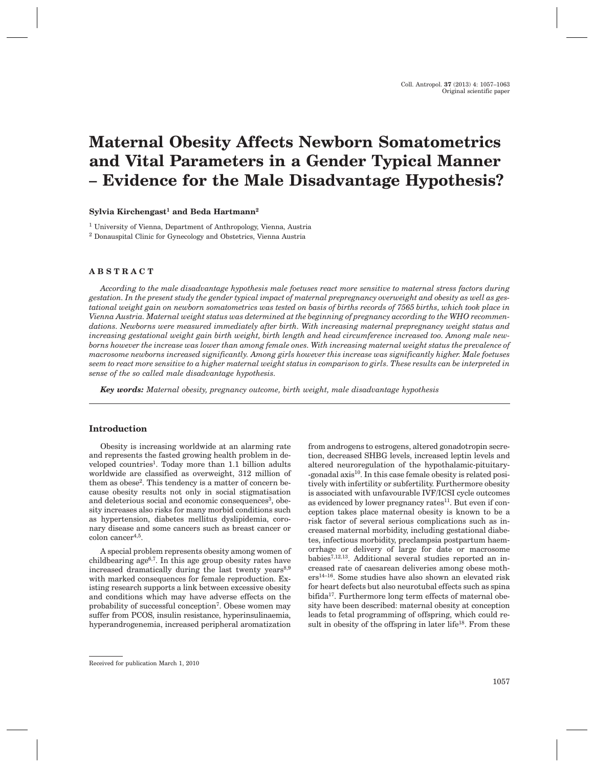# **Maternal Obesity Affects Newborn Somatometrics and Vital Parameters in a Gender Typical Manner – Evidence for the Male Disadvantage Hypothesis?**

#### **Sylvia Kirchengast<sup>1</sup> and Beda Hartmann<sup>2</sup>**

<sup>1</sup> University of Vienna, Department of Anthropology, Vienna, Austria

<sup>2</sup> Donauspital Clinic for Gynecology and Obstetrics, Vienna Austria

#### **ABSTRACT**

*According to the male disadvantage hypothesis male foetuses react more sensitive to maternal stress factors during gestation. In the present study the gender typical impact of maternal prepregnancy overweight and obesity as well as gestational weight gain on newborn somatometrics was tested on basis of births records of 7565 births, which took place in Vienna Austria. Maternal weight status was determined at the beginning of pregnancy according to the WHO recommendations. Newborns were measured immediately after birth. With increasing maternal prepregnancy weight status and increasing gestational weight gain birth weight, birth length and head circumference increased too. Among male newborns however the increase was lower than among female ones. With increasing maternal weight status the prevalence of macrosome newborns increased significantly. Among girls however this increase was significantly higher. Male foetuses seem to react more sensitive to a higher maternal weight status in comparison to girls. These results can be interpreted in sense of the so called male disadvantage hypothesis.*

*Key words: Maternal obesity, pregnancy outcome, birth weight, male disadvantage hypothesis*

#### **Introduction**

Obesity is increasing worldwide at an alarming rate and represents the fasted growing health problem in developed countries<sup>1</sup>. Today more than 1.1 billion adults worldwide are classified as overweight, 312 million of them as obese<sup>2</sup>. This tendency is a matter of concern because obesity results not only in social stigmatisation and deleterious social and economic consequences<sup>3</sup>, obesity increases also risks for many morbid conditions such as hypertension, diabetes mellitus dyslipidemia, coronary disease and some cancers such as breast cancer or colon cancer<sup>4,5</sup>.

A special problem represents obesity among women of childbearing age6,7. In this age group obesity rates have increased dramatically during the last twenty years<sup>8,9</sup> with marked consequences for female reproduction. Existing research supports a link between excessive obesity and conditions which may have adverse effects on the probability of successful conception<sup>7</sup>. Obese women may suffer from PCOS, insulin resistance, hyperinsulinaemia, hyperandrogenemia, increased peripheral aromatization from androgens to estrogens, altered gonadotropin secretion, decreased SHBG levels, increased leptin levels and altered neuroregulation of the hypothalamic-pituitary- -gonadal axis<sup>10</sup>. In this case female obesity is related positively with infertility or subfertility. Furthermore obesity is associated with unfavourable IVF/ICSI cycle outcomes as evidenced by lower pregnancy rates $^{11}$ . But even if conception takes place maternal obesity is known to be a risk factor of several serious complications such as increased maternal morbidity, including gestational diabetes, infectious morbidity, preclampsia postpartum haemorrhage or delivery of large for date or macrosome babies7,12,13. Additional several studies reported an increased rate of caesarean deliveries among obese mothers14–16. Some studies have also shown an elevated risk for heart defects but also neurotubal effects such as spina bifida<sup>17</sup>. Furthermore long term effects of maternal obesity have been described: maternal obesity at conception leads to fetal programming of offspring, which could result in obesity of the offspring in later life $18$ . From these

Received for publication March 1, 2010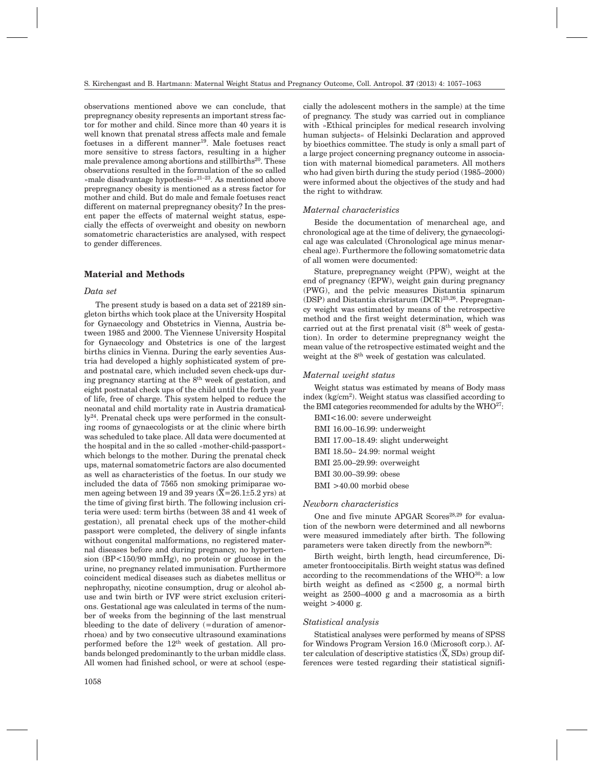observations mentioned above we can conclude, that prepregnancy obesity represents an important stress factor for mother and child. Since more than 40 years it is well known that prenatal stress affects male and female foetuses in a different manner<sup>19</sup>. Male foetuses react more sensitive to stress factors, resulting in a higher male prevalence among abortions and stillbirths<sup>20</sup>. These observations resulted in the formulation of the so called »male disadvantage hypothesis«21–23. As mentioned above prepregnancy obesity is mentioned as a stress factor for mother and child. But do male and female foetuses react different on maternal prepregnancy obesity? In the present paper the effects of maternal weight status, especially the effects of overweight and obesity on newborn somatometric characteristics are analysed, with respect to gender differences.

#### **Material and Methods**

#### *Data set*

The present study is based on a data set of 22189 singleton births which took place at the University Hospital for Gynaecology and Obstetrics in Vienna, Austria between 1985 and 2000. The Viennese University Hospital for Gynaecology and Obstetrics is one of the largest births clinics in Vienna. During the early seventies Austria had developed a highly sophisticated system of preand postnatal care, which included seven check-ups during pregnancy starting at the  $8<sup>th</sup>$  week of gestation, and eight postnatal check ups of the child until the forth year of life, free of charge. This system helped to reduce the neonatal and child mortality rate in Austria dramatically24. Prenatal check ups were performed in the consulting rooms of gynaecologists or at the clinic where birth was scheduled to take place. All data were documented at the hospital and in the so called »mother-child-passport« which belongs to the mother. During the prenatal check ups, maternal somatometric factors are also documented as well as characteristics of the foetus. In our study we included the data of 7565 non smoking primiparae women ageing between 19 and 39 years  $(\overline{X}=26.1\pm5.2 \text{ yrs})$  at the time of giving first birth. The following inclusion criteria were used: term births (between 38 and 41 week of gestation), all prenatal check ups of the mother-child passport were completed, the delivery of single infants without congenital malformations, no registered maternal diseases before and during pregnancy, no hypertension (BP<150/90 mmHg), no protein or glucose in the urine, no pregnancy related immunisation. Furthermore coincident medical diseases such as diabetes mellitus or nephropathy, nicotine consumption, drug or alcohol abuse and twin birth or IVF were strict exclusion criterions. Gestational age was calculated in terms of the number of weeks from the beginning of the last menstrual bleeding to the date of delivery (=duration of amenorrhoea) and by two consecutive ultrasound examinations performed before the  $12<sup>th</sup>$  week of gestation. All probands belonged predominantly to the urban middle class. All women had finished school, or were at school (especially the adolescent mothers in the sample) at the time of pregnancy. The study was carried out in compliance with »Ethical principles for medical research involving human subjects« of Helsinki Declaration and approved by bioethics committee. The study is only a small part of a large project concerning pregnancy outcome in association with maternal biomedical parameters. All mothers who had given birth during the study period (1985–2000) were informed about the objectives of the study and had the right to withdraw.

## *Maternal characteristics*

Beside the documentation of menarcheal age, and chronological age at the time of delivery, the gynaecological age was calculated (Chronological age minus menarcheal age). Furthermore the following somatometric data of all women were documented:

Stature, prepregnancy weight (PPW), weight at the end of pregnancy (EPW), weight gain during pregnancy (PWG), and the pelvic measures Distantia spinarum (DSP) and Distantia christarum (DCR)25,26. Prepregnancy weight was estimated by means of the retrospective method and the first weight determination, which was carried out at the first prenatal visit  $(8<sup>th</sup>$  week of gestation). In order to determine prepregnancy weight the mean value of the retrospective estimated weight and the weight at the 8<sup>th</sup> week of gestation was calculated.

#### *Maternal weight status*

Weight status was estimated by means of Body mass index  $(kg/cm<sup>2</sup>)$ . Weight status was classified according to the BMI categories recommended for adults by the WHO<sup>27</sup>:

BMI<16.00: severe underweight BMI 16.00–16.99: underweight BMI 17.00–18.49: slight underweight BMI 18.50– 24.99: normal weight BMI 25.00–29.99: overweight BMI 30.00–39.99: obese BMI >40.00 morbid obese

#### *Newborn characteristics*

One and five minute APGAR Scores<sup>28,29</sup> for evaluation of the newborn were determined and all newborns were measured immediately after birth. The following parameters were taken directly from the newborn $26$ :

Birth weight, birth length, head circumference, Diameter frontooccipitalis. Birth weight status was defined according to the recommendations of the WHO<sup>30</sup>: a low birth weight as defined as <2500 g, a normal birth weight as 2500–4000 g and a macrosomia as a birth weight  $>4000$  g.

#### *Statistical analysis*

Statistical analyses were performed by means of SPSS for Windows Program Version 16.0 (Microsoft corp.). After calculation of descriptive statistics  $(\overline{X}, SDs)$  group differences were tested regarding their statistical signifi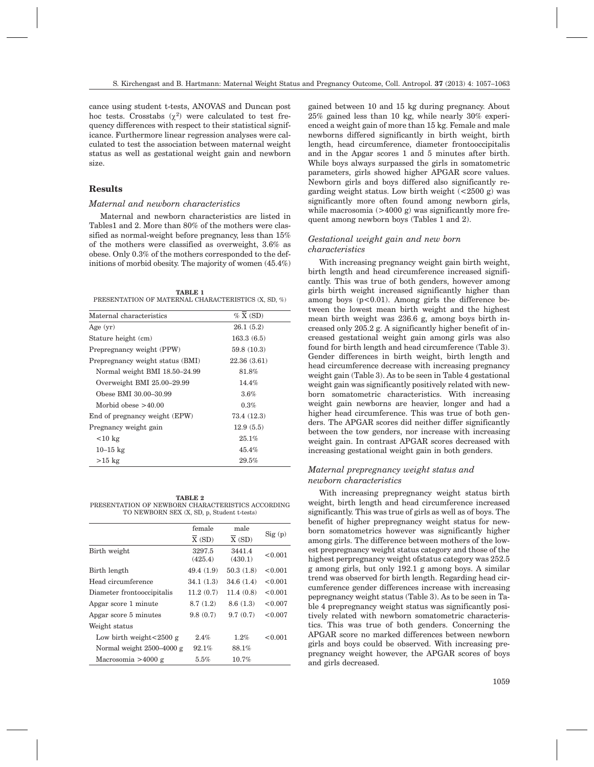cance using student t-tests, ANOVAS and Duncan post hoc tests. Crosstabs  $(\chi^2)$  were calculated to test frequency differences with respect to their statistical significance. Furthermore linear regression analyses were calculated to test the association between maternal weight status as well as gestational weight gain and newborn size.

# **Results**

# *Maternal and newborn characteristics*

Maternal and newborn characteristics are listed in Tables1 and 2. More than 80% of the mothers were classified as normal-weight before pregnancy, less than 15% of the mothers were classified as overweight, 3.6% as obese. Only 0.3% of the mothers corresponded to the definitions of morbid obesity. The majority of women (45.4%)

| <b>TABLE 1</b>                                      |  |  |
|-----------------------------------------------------|--|--|
| PRESENTATION OF MATERNAL CHARACTERISTICS (X, SD, %) |  |  |

| Maternal characteristics         | $\%$ X (SD) |  |  |  |
|----------------------------------|-------------|--|--|--|
| Age $(yr)$                       | 26.1(5.2)   |  |  |  |
| Stature height (cm)              | 163.3(6.5)  |  |  |  |
| Prepregnancy weight (PPW)        | 59.8(10.3)  |  |  |  |
| Prepregnancy weight status (BMI) | 22.36(3.61) |  |  |  |
| Normal weight BMI 18.50-24.99    | 81.8%       |  |  |  |
| Overweight BMI 25.00-29.99       | 14.4%       |  |  |  |
| Obese BMI 30.00-30.99            | 3.6%        |  |  |  |
| Morbid obese $>40.00$            | 0.3%        |  |  |  |
| End of pregnancy weight (EPW)    | 73.4 (12.3) |  |  |  |
| Pregnancy weight gain            | 12.9(5.5)   |  |  |  |
| $<$ 10 kg                        | 25.1%       |  |  |  |
| $10 - 15$ kg                     | $45.4\%$    |  |  |  |
| $>15$ kg                         | 29.5%       |  |  |  |

**TABLE 2** PRESENTATION OF NEWBORN CHARACTERISTICS ACCORDING TO NEWBORN SEX (X, SD, p, Student t-tests)

| female            | male              |         |
|-------------------|-------------------|---------|
| X(SD)             | X(SD)             | Sig(p)  |
| 3297.5<br>(425.4) | 3441.4<br>(430.1) | < 0.001 |
| 49.4(1.9)         | 50.3(1.8)         | < 0.001 |
| 34.1(1.3)         | 34.6(1.4)         | < 0.001 |
| 11.2(0.7)         | 11.4(0.8)         | < 0.001 |
| 8.7(1.2)          | 8.6(1.3)          | < 0.007 |
| 9.8(0.7)          | 9.7(0.7)          | < 0.007 |
|                   |                   |         |
| 2.4%              | 1.2%              | < 0.001 |
| 92.1%             | 88.1%             |         |
| $5.5\%$           | 10.7%             |         |
|                   |                   |         |

gained between 10 and 15 kg during pregnancy. About 25% gained less than 10 kg, while nearly 30% experienced a weight gain of more than 15 kg. Female and male newborns differed significantly in birth weight, birth length, head circumference, diameter frontooccipitalis and in the Apgar scores 1 and 5 minutes after birth. While boys always surpassed the girls in somatometric parameters, girls showed higher APGAR score values. Newborn girls and boys differed also significantly regarding weight status. Low birth weight  $(<2500 \text{ g})$  was significantly more often found among newborn girls, while macrosomia  $(>4000 \text{ g})$  was significantly more frequent among newborn boys (Tables 1 and 2).

# *Gestational weight gain and new born characteristics*

With increasing pregnancy weight gain birth weight, birth length and head circumference increased significantly. This was true of both genders, however among girls birth weight increased significantly higher than among boys  $(p<0.01)$ . Among girls the difference between the lowest mean birth weight and the highest mean birth weight was 236.6 g, among boys birth increased only 205.2 g. A significantly higher benefit of increased gestational weight gain among girls was also found for birth length and head circumference (Table 3). Gender differences in birth weight, birth length and head circumference decrease with increasing pregnancy weight gain (Table 3). As to be seen in Table 4 gestational weight gain was significantly positively related with newborn somatometric characteristics. With increasing weight gain newborns are heavier, longer and had a higher head circumference. This was true of both genders. The APGAR scores did neither differ significantly between the tow genders, nor increase with increasing weight gain. In contrast APGAR scores decreased with increasing gestational weight gain in both genders.

# *Maternal prepregnancy weight status and newborn characteristics*

With increasing prepregnancy weight status birth weight, birth length and head circumference increased significantly. This was true of girls as well as of boys. The benefit of higher prepregnancy weight status for newborn somatometrics however was significantly higher among girls. The difference between mothers of the lowest prepregnancy weight status category and those of the highest perpregnancy weight ofstatus category was 252.5 g among girls, but only 192.1 g among boys. A similar trend was observed for birth length. Regarding head circumference gender differences increase with increasing pepregnancy weight status (Table 3). As to be seen in Table 4 prepregnancy weight status was significantly positively related with newborn somatometric characteristics. This was true of both genders. Concerning the APGAR score no marked differences between newborn girls and boys could be observed. With increasing prepregnancy weight however, the APGAR scores of boys and girls decreased.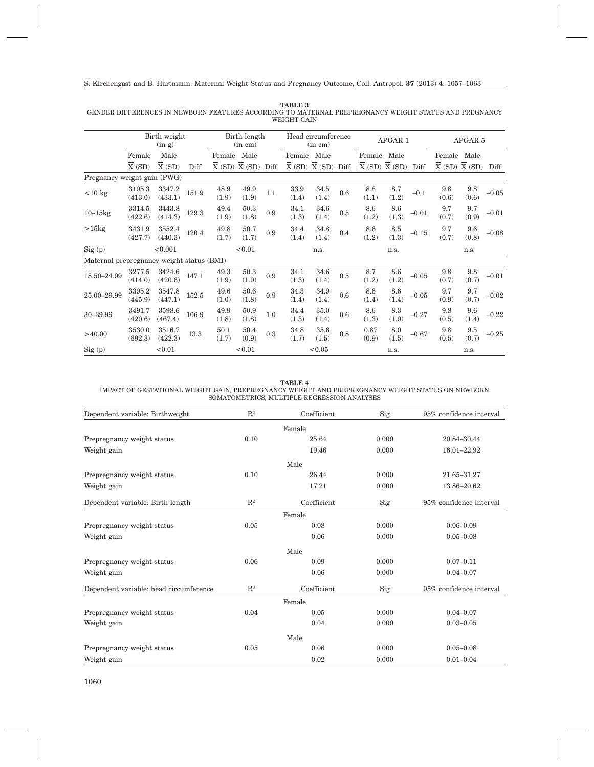#### **TABLE 3** GENDER DIFFERENCES IN NEWBORN FEATURES ACCORDING TO MATERNAL PREPREGNANCY WEIGHT STATUS AND PREGNANCY WEIGHT GAIN

|                                           | Birth weight<br>(in g) |                   | Birth length<br>(in cm) |               | Head circumference<br>(in cm) |     |               | APGAR 1          |     |               | APGAR 5                                 |         |              |                              |         |
|-------------------------------------------|------------------------|-------------------|-------------------------|---------------|-------------------------------|-----|---------------|------------------|-----|---------------|-----------------------------------------|---------|--------------|------------------------------|---------|
|                                           | Female                 | Male              |                         | Female        | Male                          |     | Female        | Male             |     | Female        | Male                                    |         | Female Male  |                              |         |
|                                           | X(SD)                  | X(SD)             | Diff                    |               | X(SD) X(SD) Diff              |     |               | X(SD) X(SD) Diff |     |               | $\overline{X}$ (SD) $\overline{X}$ (SD) | Diff    |              | $\overline{X}$ (SD) $X$ (SD) | Diff    |
| Pregnancy weight gain (PWG)               |                        |                   |                         |               |                               |     |               |                  |     |               |                                         |         |              |                              |         |
| $< 10 \text{ kg}$                         | 3195.3<br>(413.0)      | 3347.2<br>(433.1) | 151.9                   | 48.9<br>(1.9) | 49.9<br>(1.9)                 | 1.1 | 33.9<br>(1.4) | 34.5<br>(1.4)    | 0.6 | 8.8<br>(1.1)  | 8.7<br>(1.2)                            | $-0.1$  | 9.8<br>(0.6) | 9.8<br>(0.6)                 | $-0.05$ |
| $10-15$ kg                                | 3314.5<br>(422.6)      | 3443.8<br>(414.3) | 129.3                   | 49.4<br>(1.9) | 50.3<br>(1.8)                 | 0.9 | 34.1<br>(1.3) | 34.6<br>(1.4)    | 0.5 | 8.6<br>(1.2)  | 8.6<br>(1.3)                            | $-0.01$ | 9.7<br>(0.7) | 9.7<br>(0.9)                 | $-0.01$ |
| $>15$ kg                                  | 3431.9<br>(427.7)      | 3552.4<br>(440.3) | 120.4                   | 49.8<br>(1.7) | 50.7<br>(1.7)                 | 0.9 | 34.4<br>(1.4) | 34.8<br>(1.4)    | 0.4 | 8.6<br>(1.2)  | 8.5<br>(1.3)                            | $-0.15$ | 9.7<br>(0.7) | 9.6<br>(0.8)                 | $-0.08$ |
| Sig(p)                                    |                        | < 0.001           |                         |               | < 0.01                        |     |               | n.s.             |     |               | n.s.                                    |         |              | n.s.                         |         |
| Maternal prepregnancy weight status (BMI) |                        |                   |                         |               |                               |     |               |                  |     |               |                                         |         |              |                              |         |
| 18.50-24.99                               | 3277.5<br>(414.0)      | 3424.6<br>(420.6) | 147.1                   | 49.3<br>(1.9) | 50.3<br>(1.9)                 | 0.9 | 34.1<br>(1.3) | 34.6<br>(1.4)    | 0.5 | 8.7<br>(1.2)  | 8.6<br>(1.2)                            | $-0.05$ | 9.8<br>(0.7) | 9.8<br>(0.7)                 | $-0.01$ |
| 25.00-29.99                               | 3395.2<br>(445.9)      | 3547.8<br>(447.1) | 152.5                   | 49.6<br>(1.0) | 50.6<br>(1.8)                 | 0.9 | 34.3<br>(1.4) | 34.9<br>(1.4)    | 0.6 | 8.6<br>(1.4)  | 8.6<br>(1.4)                            | $-0.05$ | 9.7<br>(0.9) | 9.7<br>(0.7)                 | $-0.02$ |
| 30-39.99                                  | 3491.7<br>(420.6)      | 3598.6<br>(467.4) | 106.9                   | 49.9<br>(1.8) | 50.9<br>(1.8)                 | 1.0 | 34.4<br>(1.3) | 35.0<br>(1.4)    | 0.6 | 8.6<br>(1.3)  | 8.3<br>(1.9)                            | $-0.27$ | 9.8<br>(0.5) | 9.6<br>(1.4)                 | $-0.22$ |
| >40.00                                    | 3530.0<br>(692.3)      | 3516.7<br>(422.3) | 13.3                    | 50.1<br>(1.7) | 50.4<br>(0.9)                 | 0.3 | 34.8<br>(1.7) | 35.6<br>(1.5)    | 0.8 | 0.87<br>(0.9) | 8.0<br>(1.5)                            | $-0.67$ | 9.8<br>(0.5) | $\ \, 9.5$<br>(0.7)          | $-0.25$ |
| Sig(p)                                    |                        | < 0.01            |                         |               | < 0.01                        |     |               | < 0.05           |     |               | n.s.                                    |         |              | n.s.                         |         |

#### **TABLE 4**

IMPACT OF GESTATIONAL WEIGHT GAIN, PREPREGNANCY WEIGHT AND PREPREGNANCY WEIGHT STATUS ON NEWBORN SOMATOMETRICS, MULTIPLE REGRESSION ANALYSES

| Dependent variable: Birthweight        | $\mathbf{R}^2$ | Coefficient | Sig   | 95% confidence interval |
|----------------------------------------|----------------|-------------|-------|-------------------------|
|                                        |                |             |       |                         |
|                                        |                | Female      |       |                         |
| Prepregnancy weight status             | 0.10           | 25.64       | 0.000 | 20.84-30.44             |
| Weight gain                            |                | 19.46       | 0.000 | 16.01-22.92             |
|                                        |                | Male        |       |                         |
| Prepregnancy weight status             | 0.10           | 26.44       | 0.000 | 21.65-31.27             |
| Weight gain                            |                | 17.21       | 0.000 | 13.86-20.62             |
| Dependent variable: Birth length       | $\mathbf{R}^2$ | Coefficient | Sig   | 95% confidence interval |
|                                        |                | Female      |       |                         |
| Prepregnancy weight status             | 0.05           | 0.08        | 0.000 | $0.06 - 0.09$           |
| Weight gain                            |                | 0.06        | 0.000 | $0.05 - 0.08$           |
|                                        |                | Male        |       |                         |
| Prepregnancy weight status             | 0.06           | 0.09        | 0.000 | $0.07 - 0.11$           |
| Weight gain                            |                | 0.06        | 0.000 | $0.04 - 0.07$           |
| Dependent variable: head circumference | $\mathbb{R}^2$ | Coefficient | Sig   | 95% confidence interval |
|                                        |                | Female      |       |                         |
| Prepregnancy weight status             | 0.04           | 0.05        | 0.000 | $0.04 - 0.07$           |
| Weight gain                            |                | 0.04        | 0.000 | $0.03 - 0.05$           |
|                                        |                | Male        |       |                         |
| Prepregnancy weight status             | 0.05           | 0.06        | 0.000 | $0.05 - 0.08$           |
| Weight gain                            |                | 0.02        | 0.000 | $0.01 - 0.04$           |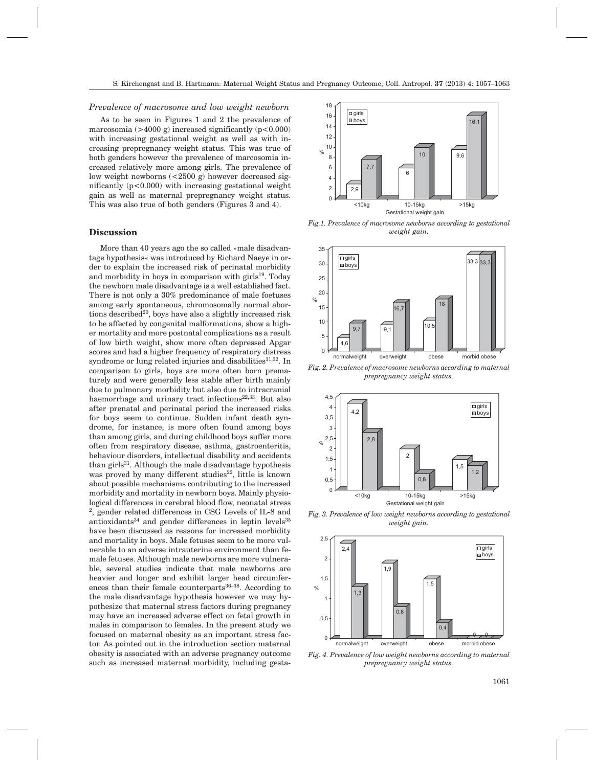#### *Prevalence of macrosome and low weight newborn*

As to be seen in Figures 1 and 2 the prevalence of marcosomia ( $>4000$  g) increased significantly ( $p < 0.000$ ) with increasing gestational weight as well as with increasing prepregnancy weight status. This was true of both genders however the prevalence of marcosomia increased relatively more among girls. The prevalence of low weight newborns (<2500 g) however decreased significantly  $(p<0.000)$  with increasing gestational weight gain as well as maternal prepregnancy weight status. This was also true of both genders (Figures 3 and 4).

#### **Discussion**

More than 40 years ago the so called »male disadvantage hypothesis« was introduced by Richard Naeye in order to explain the increased risk of perinatal morbidity and morbidity in boys in comparison with girls $19$ . Today the newborn male disadvantage is a well established fact. There is not only a 30% predominance of male foetuses among early spontaneous, chromosomally normal abortions described<sup>20</sup>, boys have also a slightly increased risk to be affected by congenital malformations, show a higher mortality and more postnatal complications as a result of low birth weight, show more often depressed Apgar scores and had a higher frequency of respiratory distress syndrome or lung related injuries and disabilities<sup>31,32</sup>. In comparison to girls, boys are more often born prematurely and were generally less stable after birth mainly due to pulmonary morbidity but also due to intracranial haemorrhage and urinary tract infections<sup>22,33</sup>. But also after prenatal and perinatal period the increased risks for boys seem to continue. Sudden infant death syndrome, for instance, is more often found among boys than among girls, and during childhood boys suffer more often from respiratory disease, asthma, gastroenteritis, behaviour disorders, intellectual disability and accidents than girls<sup>31</sup>. Although the male disadvantage hypothesis was proved by many different studies<sup>22</sup>, little is known about possible mechanisms contributing to the increased morbidity and mortality in newborn boys. Mainly physiological differences in cerebral blood flow, neonatal stress 2, gender related differences in CSG Levels of IL-8 and antioxidants $34$  and gender differences in leptin levels $35$ have been discussed as reasons for increased morbidity and mortality in boys. Male fetuses seem to be more vulnerable to an adverse intrauterine environment than female fetuses. Although male newborns are more vulnerable, several studies indicate that male newborns are heavier and longer and exhibit larger head circumferences than their female counterparts<sup>36–38</sup>. According to the male disadvantage hypothesis however we may hypothesize that maternal stress factors during pregnancy may have an increased adverse effect on fetal growth in males in comparison to females. In the present study we focused on maternal obesity as an important stress factor. As pointed out in the introduction section maternal obesity is associated with an adverse pregnancy outcome such as increased maternal morbidity, including gesta-



*Fig.1. Prevalence of macrosome newborns according to gestational weight gain.*



*Fig. 2. Prevalence of macrosome newborns according to maternal prepregnancy weight status.*



*Fig. 3. Prevalence of low weight newborns according to gestational weight gain.*



*Fig. 4. Prevalence of low weight newborns according to maternal prepregnancy weight status.*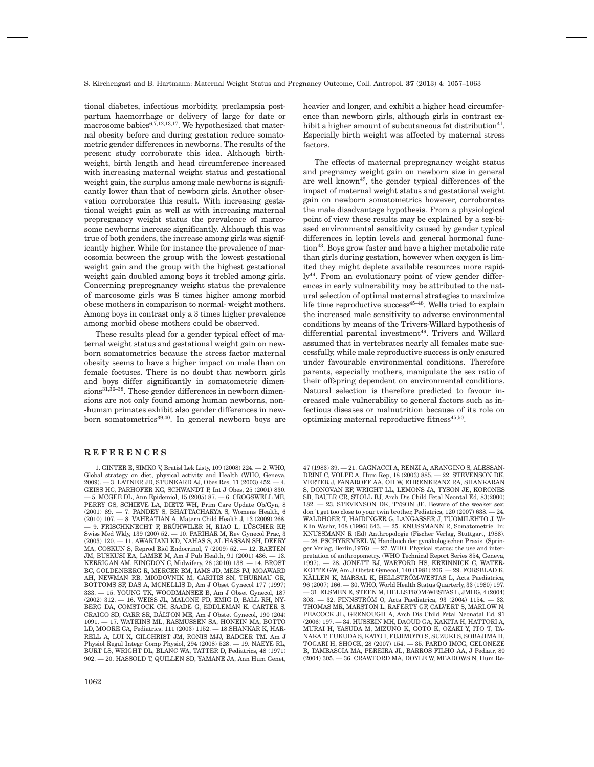tional diabetes, infectious morbidity, preclampsia postpartum haemorrhage or delivery of large for date or macrosome babies $6,7,12,13,17$ . We hypothesized that maternal obesity before and during gestation reduce somatometric gender differences in newborns. The results of the present study corroborate this idea. Although birthweight, birth length and head circumference increased with increasing maternal weight status and gestational weight gain, the surplus among male newborns is significantly lower than that of newborn girls. Another observation corroborates this result. With increasing gestational weight gain as well as with increasing maternal prepregnancy weight status the prevalence of marcosome newborns increase significantly. Although this was true of both genders, the increase among girls was significantly higher. While for instance the prevalence of marcosomia between the group with the lowest gestational weight gain and the group with the highest gestational weight gain doubled among boys it trebled among girls. Concerning prepregnancy weight status the prevalence of marcosome girls was 8 times higher among morbid obese mothers in comparison to normal- weight mothers. Among boys in contrast only a 3 times higher prevalence among morbid obese mothers could be observed.

These results plead for a gender typical effect of maternal weight status and gestational weight gain on newborn somatometrics because the stress factor maternal obesity seems to have a higher impact on male than on female foetuses. There is no doubt that newborn girls and boys differ significantly in somatometric dimensions<sup>31,36–38</sup>. These gender differences in newborn dimensions are not only found among human newborns, non- -human primates exhibit also gender differences in newborn somatometrics<sup>39,40</sup>. In general newborn boys are

#### **REFERENCES**

1. GINTER E, SIMKO V, Bratisl Lek Listy, 109 (2008) 224. — 2. WHO, Global strategy on diet, physical activity and Health (WHO, Geneva, 2009). — 3. LATNER JD, STUNKARD AJ, Obes Res, 11 (2003) 452. — 4. GEISS HC, PARHOFER KG, SCHWANDT P, Int J Obes, 25 (2001) 830. — 5. MCGEE DL, Ann Epidemiol, 15 (2005) 87. — 6. CROGSWELL ME, PERRY GS, SCHIEVE LA, DIETZ WH, Prim Care Update Ob/Gyn, 8 (2001) 89. — 7. PANDEY S, BHATTACHARYA S, Womens Health, 6 (2010) 107. — 8. VAHRATIAN A, Matern Child Health J, 13 (2009) 268. — 9. FRISCHKNECHT F, BRÜHWILER H, RIAO L, LÜSCHER KP, Swiss Med Wkly, 139 (200) 52. — 10. PARIHAR M, Rev Gynecol Prac, 3  $(2003)$  120.  $-$  11. AWARTANI KD, NAHAS S, AL HASSAN SH, DEERY MA, COSKUN S, Reprod Biol Endocrinol, 7 (2009) 52. — 12. BAETEN JM, BUSKUSI EA, LAMBE M, Am J Pub Health, 91 (2001) 436. — 13. KERRIGAN AM, KINGDON C, Midwifery, 26 (2010) 138. — 14. BROST BC, GOLDENBERG R, MERCER BM, IAMS JD, MEIS PJ, MOAWARD AH, NEWMAN RB, MIODOVNIK M, CARITIS SN, THURNAU GR, BOTTOMS SF, DAS A, MCNELLIS D, Am J Obset Gynecol 177 (1997) 333. — 15. YOUNG TK, WOODMANSEE B, Am J Obset Gynecol, 187 (2002) 312. — 16. WEISS JL, MALONE FD, EMIG D, BALL RH, NY-BERG DA, COMSTOCK CH, SAADE G, EDDLEMAN K, CARTER S, CRAIGO SD, CARR SR, DÁLTON ME, Am J Obstet Gynecol, 190 (204) 1091. — 17. WATKINS ML, RASMUSSEN SA, HONEIN MA, BOTTO LD, MOORE CA, Pediatrics, 111 (2003) 1152. — 18.SHANKAR K, HAR-RELL A, LUI X, GILCHRIST JM, RONIS MJJ, BADGER TM. Am J Physiol Regul Integr Comp Physiol, 294 (2008) 528. — 19. NAEYE RL, BURT LS, WRIGHT DL, BLANC WA, TATTER D, Pediatrics, 48 (1971) 902. — 20. HASSOLD T, QUILLEN SD, YAMANE JA, Ann Hum Genet, heavier and longer, and exhibit a higher head circumference than newborn girls, although girls in contrast exhibit a higher amount of subcutaneous fat distribution<sup>41</sup>. Especially birth weight was affected by maternal stress factors.

The effects of maternal prepregnancy weight status and pregnancy weight gain on newborn size in general are well known<sup>42</sup>, the gender typical differences of the impact of maternal weight status and gestational weight gain on newborn somatometrics however, corroborates the male disadvantage hypothesis. From a physiological point of view these results may be explained by a sex-biased environmental sensitivity caused by gender typical differences in leptin levels and general hormonal function<sup>43</sup>. Boys grow faster and have a higher metabolic rate than girls during gestation, however when oxygen is limited they might deplete available resources more rapidly<sup>44</sup>. From an evolutionary point of view gender differences in early vulnerability may be attributed to the natural selection of optimal maternal strategies to maximize life time reproductive success<sup>45–48</sup>. Wells tried to explain the increased male sensitivity to adverse environmental conditions by means of the Trivers-Willard hypothesis of differential parental investment<sup>49</sup>. Trivers and Willard assumed that in vertebrates nearly all females mate successfully, while male reproductive success is only ensured under favourable environmental conditions. Therefore parents, especially mothers, manipulate the sex ratio of their offspring dependent on environmental conditions. Natural selection is therefore predicted to favour increased male vulnerability to general factors such as infectious diseases or malnutrition because of its role on optimizing maternal reproductive fitness $45,50$ .

47 (1983) 39. — 21. CAGNACCI A, RENZI A, ARANGINO S, ALESSAN-DRINI C, VOLPE A, Hum Rep, 18 (2003) 885. — 22. STEVENSON DK, VERTER J, FANAROFF AA, OH W, EHRENKRANZ RA, SHANKARAN S, DONOVAN EF, WRIGHT LL, LEMONS JA, TYSON JE, KORONES SB, BAUER CR, STOLL BJ, Arch Dis Child Fetal Neontal Ed, 83(2000) 182. — 23. STEVENSON DK, TYSON JE. Beware of the weaker sex: don´t get too close to your twin brother, Pediatrics, 120 (2007) 638. — 24. WALDHOER T, HAIDINGER G, LANGASSER J, TUOMILEHTO J, Wr Klin Wschr, 108 (1996) 643. — 25. KNUSSMANN R, Somatometrie. In: KNUSSMANN R (Ed) Anthropologie (Fischer Verlag, Stuttgart, 1988). — 26. PSCHYREMBEL W, Handbuch der gynäkologischen Praxis. (Springer Verlag, Berlin,1976). — 27. WHO. Physical status: the use and interpretation of anthropometry. (WHO Technical Report Series 854, Geneva, 1997). — 28. JONETT RJ, WARFORD HS, KREINNICK C, WATER-KOTTE GW, Am J Obstet Gynecol, 140 (1981) 206. — 29. FORSBLAD K, KÄLLEN K, MARSAL K, HELLSTRÖM-WESTAS L, Acta Paediatrica, 96 (2007) 166. — 30. WHO, World Health Status Quarterly, 33 (1980) 197. — 31. ELSMEN E, STEEN M, HELLSTRÖM-WESTAS L, JMHG, 4 (2004) 303. — 32. FINNSTRÖM O, Acta Paediatrica, 93 (2004) 1154. — 33. THOMAS MR, MARSTON L, RAFERTY GF, CALVERT S, MARLOW N, PEACOCK JL, GRENOUGH A, Arch Dis Child Fetal Neonatal Ed, 91 (2006) 197. — 34. HUSSEIN MH, DAOUD GA, KAKITA H, HATTORI A, MURAI H, YASUDA M, MIZUNO K, GOTO K, OZAKI Y, ITO T, TA-NAKA T, FUKUDA S, KATO I, FUJIMOTO S, SUZUKI S, SOBAJIMA H, TOGARI H, SHOCK, 28 (2007) 154. — 35. PARDO IMCG, GELONEZE B, TAMBASCIA MA, PEREIRA JL, BARROS FILHO AA, J Pediatr, 80 (2004) 305. — 36. CRAWFORD MA, DOYLE W, MEADOWS N, Hum Re